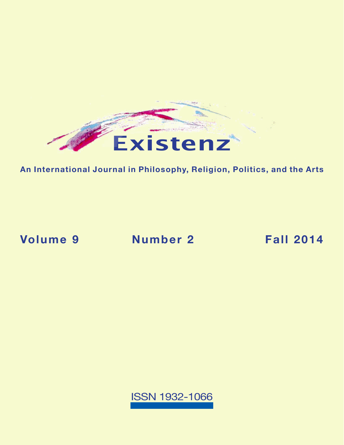

**An International Journal in Philosophy, Religion, Politics, and the Arts**

**Volume 9 [Number 2](https://existenz.us/volume9No2.html) Fall 2014**

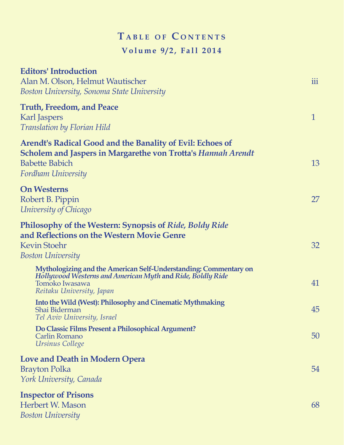## $T$  **a** BLE OF CONTENTS **Volume 9/2, Fall 2014**

| <b>Editors' Introduction</b><br>Alan M. Olson, Helmut Wautischer<br>Boston University, Sonoma State University                                                                  | iii          |
|---------------------------------------------------------------------------------------------------------------------------------------------------------------------------------|--------------|
| <b>Truth, Freedom, and Peace</b><br>Karl Jaspers<br>Translation by Florian Hild                                                                                                 | $\mathbf{1}$ |
| Arendt's Radical Good and the Banality of Evil: Echoes of<br><b>Scholem and Jaspers in Margarethe von Trotta's Hannah Arendt</b><br><b>Babette Babich</b><br>Fordham University | 13           |
| <b>On Westerns</b><br>Robert B. Pippin<br>University of Chicago                                                                                                                 | 27           |
| Philosophy of the Western: Synopsis of Ride, Boldy Ride<br>and Reflections on the Western Movie Genre<br><b>Kevin Stoehr</b><br><b>Boston University</b>                        | 32           |
| Mythologizing and the American Self-Understanding: Commentary on<br>Hollywood Westerns and American Myth and Ride, Boldly Ride<br>Tomoko Iwasawa<br>Reitaku University, Japan   | 41           |
| Into the Wild (West): Philosophy and Cinematic Mythmaking<br>Shai Biderman<br>Tel Aviv University, Israel                                                                       | 45           |
| Do Classic Films Present a Philosophical Argument?<br><b>Carlin Romano</b><br>Ursinus College                                                                                   | 50           |
| <b>Love and Death in Modern Opera</b><br><b>Brayton Polka</b><br>York University, Canada                                                                                        | 54           |
| <b>Inspector of Prisons</b><br>Herbert W. Mason<br><b>Boston University</b>                                                                                                     | 68           |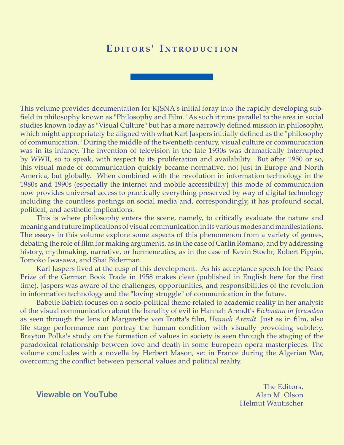## EDITORS' INTRODUCTION

This volume provides documentation for KJSNA's initial foray into the rapidly developing subfield in philosophy known as "Philosophy and Film." As such it runs parallel to the area in social studies known today as "Visual Culture" but has a more narrowly defined mission in philosophy, which might appropriately be aligned with what Karl Jaspers initially defined as the "philosophy of communication." During the middle of the twentieth century, visual culture or communication was in its infancy. The invention of television in the late 1930s was dramatically interrupted by WWII, so to speak, with respect to its proliferation and availability. But after 1950 or so, this visual mode of communication quickly became normative, not just in Europe and North America, but globally. When combined with the revolution in information technology in the 1980s and 1990s (especially the internet and mobile accessibility) this mode of communication now provides universal access to practically everything preserved by way of digital technology including the countless postings on social media and, correspondingly, it has profound social, political, and aesthetic implications.

This is where philosophy enters the scene, namely, to critically evaluate the nature and meaning and future implications of visual communication in its various modes and manifestations. The essays in this volume explore some aspects of this phenomenon from a variety of genres, debating the role of film for making arguments, as in the case of Carlin Romano, and by addressing history, mythmaking, narrative, or hermeneutics, as in the case of Kevin Stoehr, Robert Pippin, Tomoko Iwasawa, and Shai Biderman.

Karl Jaspers lived at the cusp of this development. As his acceptance speech for the Peace Prize of the German Book Trade in 1958 makes clear (published in English here for the first time), Jaspers was aware of the challenges, opportunities, and responsibilities of the revolution in information technology and the "loving struggle" of communication in the future.

Babette Babich focuses on a socio-political theme related to academic reality in her analysis of the visual communication about the banality of evil in Hannah Arendt's *Eichmann in Jerusalem* as seen through the lens of Margarethe von Trotta's film, *Hannah Arendt*. Just as in film, also life stage performance can portray the human condition with visually provoking subtlety. Brayton Polka's study on the formation of values in society is seen through the staging of the paradoxical relationship between love and death in some European opera masterpieces. The volume concludes with a novella by Herbert Mason, set in France during the Algerian War, overcoming the conflict between personal values and political reality.

> The Editors, Alan M. Olson Helmut Wautischer

[Viewable on YouTube](http://youtu.be/Cy767aUxX_E)